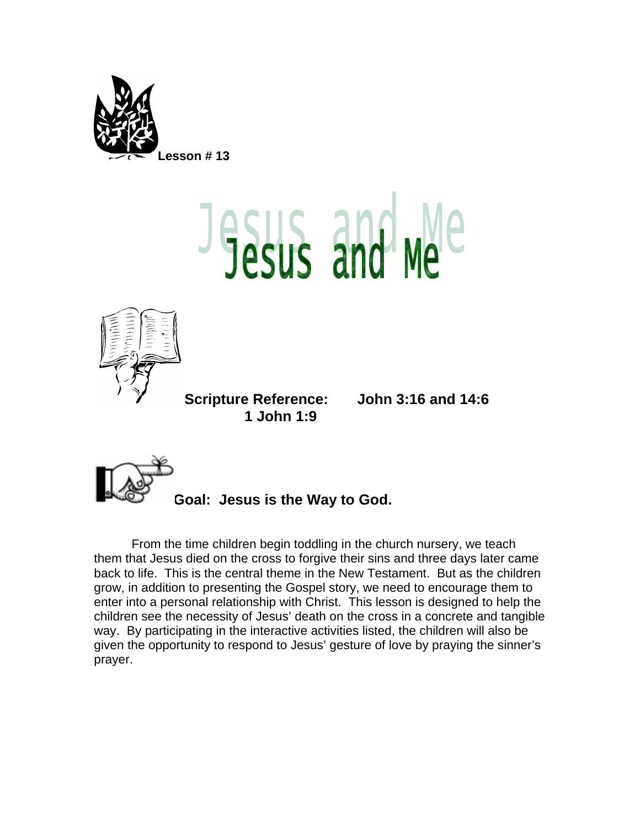

## **Esus and Me**



**Scripture Reference: John 3:16 and 14:6 1 John 1:9** 



**Goal: Jesus is the Way to God.** 

From the time children begin toddling in the church nursery, we teach them that Jesus died on the cross to forgive their sins and three days later came back to life. This is the central theme in the New Testament. But as the children grow, in addition to presenting the Gospel story, we need to encourage them to enter into a personal relationship with Christ. This lesson is designed to help the children see the necessity of Jesus' death on the cross in a concrete and tangible way. By participating in the interactive activities listed, the children will also be given the opportunity to respond to Jesus' gesture of love by praying the sinner's prayer.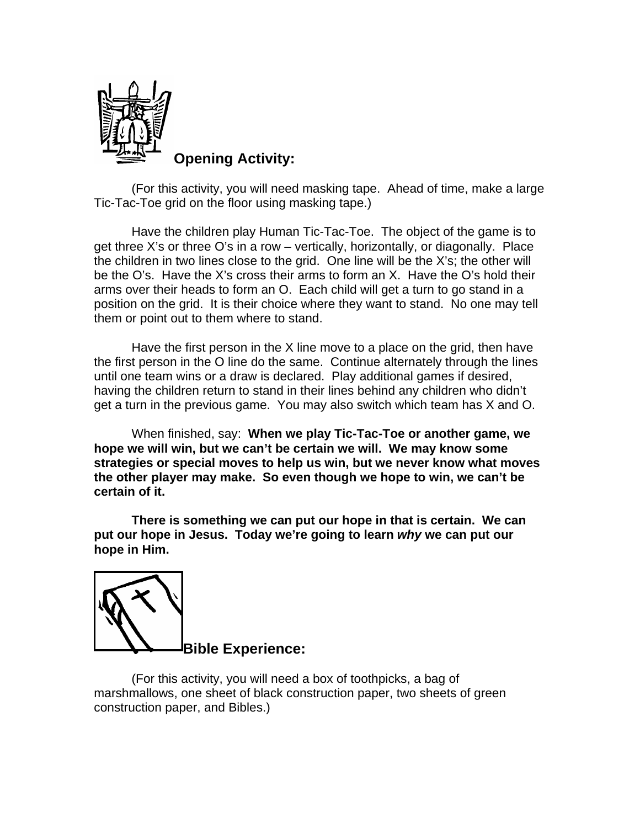

**Opening Activity:** 

(For this activity, you will need masking tape. Ahead of time, make a large Tic-Tac-Toe grid on the floor using masking tape.)

Have the children play Human Tic-Tac-Toe. The object of the game is to get three X's or three O's in a row – vertically, horizontally, or diagonally. Place the children in two lines close to the grid. One line will be the X's; the other will be the O's. Have the X's cross their arms to form an X. Have the O's hold their arms over their heads to form an O. Each child will get a turn to go stand in a position on the grid. It is their choice where they want to stand. No one may tell them or point out to them where to stand.

Have the first person in the X line move to a place on the grid, then have the first person in the O line do the same. Continue alternately through the lines until one team wins or a draw is declared. Play additional games if desired, having the children return to stand in their lines behind any children who didn't get a turn in the previous game. You may also switch which team has X and O.

When finished, say: **When we play Tic-Tac-Toe or another game, we hope we will win, but we can't be certain we will. We may know some strategies or special moves to help us win, but we never know what moves the other player may make. So even though we hope to win, we can't be certain of it.** 

**There is something we can put our hope in that is certain. We can put our hope in Jesus. Today we're going to learn** *why* **we can put our hope in Him.** 



(For this activity, you will need a box of toothpicks, a bag of marshmallows, one sheet of black construction paper, two sheets of green construction paper, and Bibles.)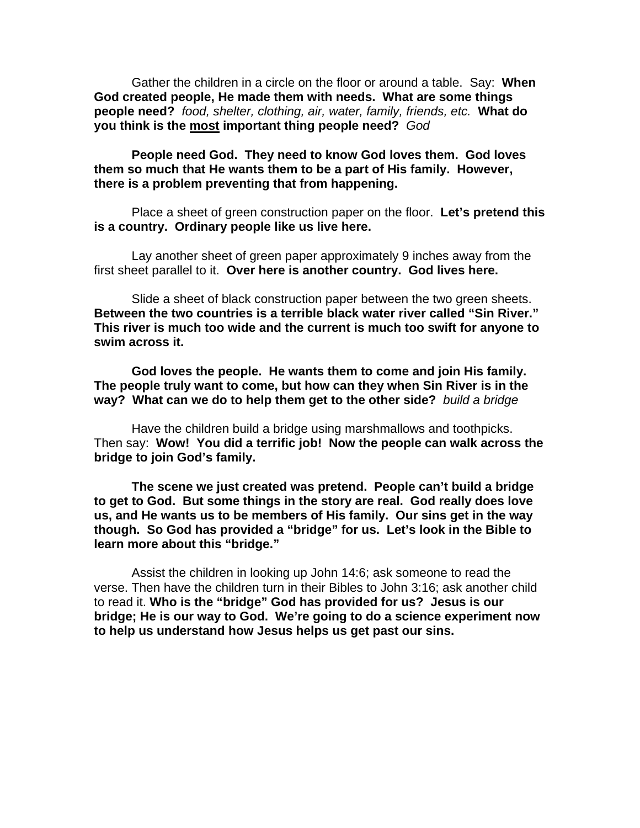Gather the children in a circle on the floor or around a table. Say: **When God created people, He made them with needs. What are some things people need?** *food, shelter, clothing, air, water, family, friends, etc.* **What do you think is the most important thing people need?** *God*

**People need God. They need to know God loves them. God loves them so much that He wants them to be a part of His family. However, there is a problem preventing that from happening.** 

Place a sheet of green construction paper on the floor. **Let's pretend this is a country. Ordinary people like us live here.** 

Lay another sheet of green paper approximately 9 inches away from the first sheet parallel to it. **Over here is another country. God lives here.** 

Slide a sheet of black construction paper between the two green sheets. **Between the two countries is a terrible black water river called "Sin River." This river is much too wide and the current is much too swift for anyone to swim across it.** 

**God loves the people. He wants them to come and join His family. The people truly want to come, but how can they when Sin River is in the way? What can we do to help them get to the other side?** *build a bridge* 

Have the children build a bridge using marshmallows and toothpicks. Then say: **Wow! You did a terrific job! Now the people can walk across the bridge to join God's family.** 

**The scene we just created was pretend. People can't build a bridge to get to God. But some things in the story are real. God really does love us, and He wants us to be members of His family. Our sins get in the way though. So God has provided a "bridge" for us. Let's look in the Bible to learn more about this "bridge."** 

Assist the children in looking up John 14:6; ask someone to read the verse. Then have the children turn in their Bibles to John 3:16; ask another child to read it. **Who is the "bridge" God has provided for us? Jesus is our bridge; He is our way to God. We're going to do a science experiment now to help us understand how Jesus helps us get past our sins.**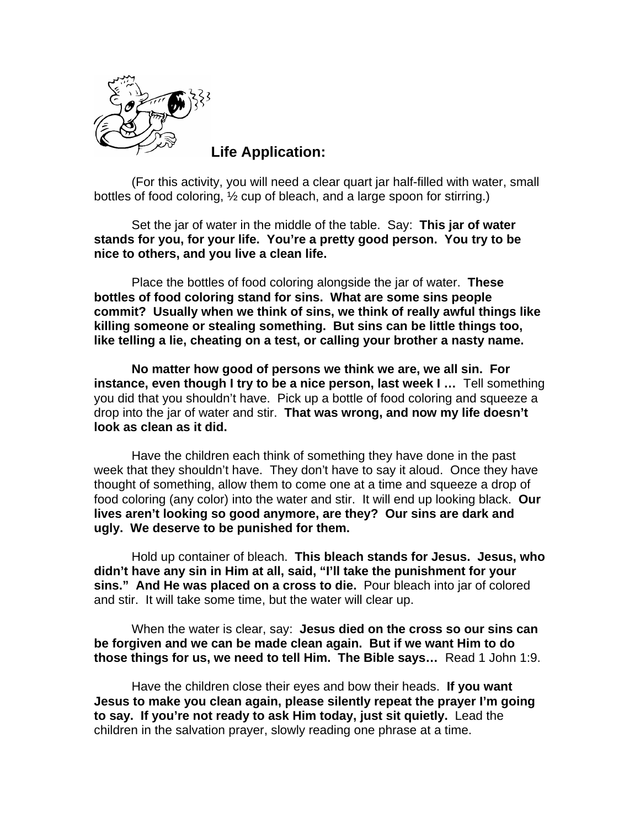

**Life Application:** 

(For this activity, you will need a clear quart jar half-filled with water, small bottles of food coloring, ½ cup of bleach, and a large spoon for stirring.)

Set the jar of water in the middle of the table. Say: **This jar of water stands for you, for your life. You're a pretty good person. You try to be nice to others, and you live a clean life.** 

Place the bottles of food coloring alongside the jar of water. **These bottles of food coloring stand for sins. What are some sins people commit? Usually when we think of sins, we think of really awful things like killing someone or stealing something. But sins can be little things too, like telling a lie, cheating on a test, or calling your brother a nasty name.** 

**No matter how good of persons we think we are, we all sin. For instance, even though I try to be a nice person, last week I …** Tell something you did that you shouldn't have. Pick up a bottle of food coloring and squeeze a drop into the jar of water and stir. **That was wrong, and now my life doesn't look as clean as it did.** 

Have the children each think of something they have done in the past week that they shouldn't have. They don't have to say it aloud. Once they have thought of something, allow them to come one at a time and squeeze a drop of food coloring (any color) into the water and stir. It will end up looking black. **Our lives aren't looking so good anymore, are they? Our sins are dark and ugly. We deserve to be punished for them.** 

Hold up container of bleach. **This bleach stands for Jesus. Jesus, who didn't have any sin in Him at all, said, "I'll take the punishment for your sins." And He was placed on a cross to die.** Pour bleach into jar of colored and stir. It will take some time, but the water will clear up.

When the water is clear, say: **Jesus died on the cross so our sins can be forgiven and we can be made clean again. But if we want Him to do those things for us, we need to tell Him. The Bible says…** Read 1 John 1:9.

Have the children close their eyes and bow their heads. **If you want Jesus to make you clean again, please silently repeat the prayer I'm going to say. If you're not ready to ask Him today, just sit quietly.** Lead the children in the salvation prayer, slowly reading one phrase at a time.